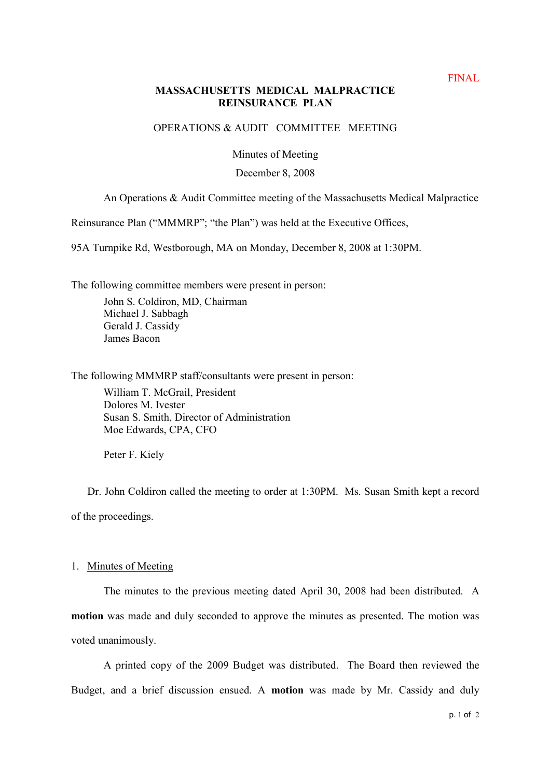## **MASSACHUSETTS MEDICAL MALPRACTICE REINSURANCE PLAN**

## OPERATIONS & AUDIT COMMITTEE MEETING

Minutes of Meeting

### December 8, 2008

# An Operations & Audit Committee meeting of the Massachusetts Medical Malpractice

Reinsurance Plan ("MMMRP"; "the Plan") was held at the Executive Offices,

95A Turnpike Rd, Westborough, MA on Monday, December 8, 2008 at 1:30PM.

The following committee members were present in person:

John S. Coldiron, MD, Chairman Michael J. Sabbagh Gerald J. Cassidy James Bacon

The following MMMRP staff/consultants were present in person:

William T. McGrail, President Dolores M. Ivester Susan S. Smith, Director of Administration Moe Edwards, CPA, CFO

Peter F. Kiely

Dr. John Coldiron called the meeting to order at 1:30PM. Ms. Susan Smith kept a record of the proceedings.

#### 1. Minutes of Meeting

The minutes to the previous meeting dated April 30, 2008 had been distributed. A **motion** was made and duly seconded to approve the minutes as presented. The motion was voted unanimously.

A printed copy of the 2009 Budget was distributed. The Board then reviewed the Budget, and a brief discussion ensued. A **motion** was made by Mr. Cassidy and duly